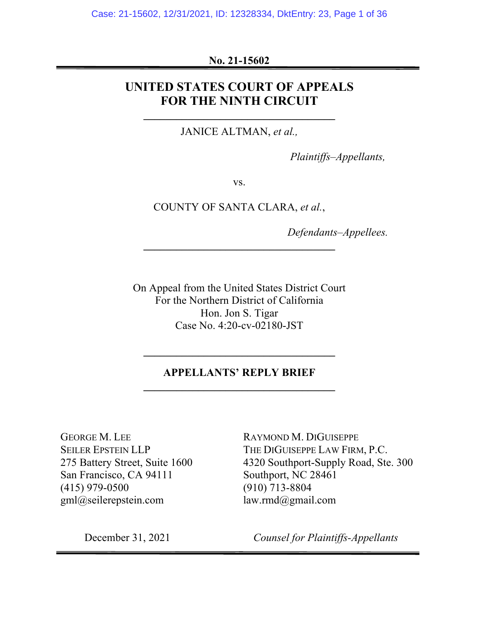### **No. 21-15602**

## **UNITED STATES COURT OF APPEALS FOR THE NINTH CIRCUIT**

JANICE ALTMAN, *et al.,*

**\_\_\_\_\_\_\_\_\_\_\_\_\_\_\_\_\_\_\_\_\_\_\_\_\_\_\_\_\_\_\_\_\_\_\_**

*Plaintiffs–Appellants,*

vs.

COUNTY OF SANTA CLARA, *et al.*,

*Defendants–Appellees.*

On Appeal from the United States District Court For the Northern District of California Hon. Jon S. Tigar Case No. 4:20-cv-02180-JST

### **APPELLANTS' REPLY BRIEF \_\_\_\_\_\_\_\_\_\_\_\_\_\_\_\_\_\_\_\_\_\_\_\_\_\_\_\_\_\_\_\_\_\_\_**

**\_\_\_\_\_\_\_\_\_\_\_\_\_\_\_\_\_\_\_\_\_\_\_\_\_\_\_\_\_\_\_\_\_\_\_**

GEORGE M. LEE SEILER EPSTEIN LLP 275 Battery Street, Suite 1600 San Francisco, CA 94111 (415) 979-0500 gml@seilerepstein.com

RAYMOND M. DIGUISEPPE THE DIGUISEPPE LAW FIRM, P.C. 4320 Southport-Supply Road, Ste. 300 Southport, NC 28461 (910) 713-8804 law.rmd@gmail.com

December 31, 2021 *Counsel for Plaintiffs-Appellants*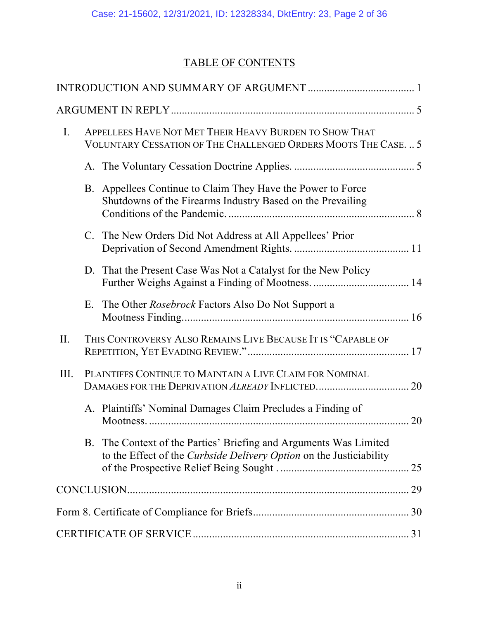# TABLE OF CONTENTS

| $\mathbf{I}$ . | APPELLEES HAVE NOT MET THEIR HEAVY BURDEN TO SHOW THAT<br>VOLUNTARY CESSATION OF THE CHALLENGED ORDERS MOOTS THE CASE.  5 |                                                                                                                                          |  |  |  |
|----------------|---------------------------------------------------------------------------------------------------------------------------|------------------------------------------------------------------------------------------------------------------------------------------|--|--|--|
|                |                                                                                                                           |                                                                                                                                          |  |  |  |
|                | B.                                                                                                                        | Appellees Continue to Claim They Have the Power to Force<br>Shutdowns of the Firearms Industry Based on the Prevailing                   |  |  |  |
|                |                                                                                                                           | C. The New Orders Did Not Address at All Appellees' Prior                                                                                |  |  |  |
|                |                                                                                                                           | D. That the Present Case Was Not a Catalyst for the New Policy                                                                           |  |  |  |
|                | E.                                                                                                                        | The Other Rosebrock Factors Also Do Not Support a                                                                                        |  |  |  |
| II.            |                                                                                                                           | THIS CONTROVERSY ALSO REMAINS LIVE BECAUSE IT IS "CAPABLE OF                                                                             |  |  |  |
| Ш.             |                                                                                                                           | PLAINTIFFS CONTINUE TO MAINTAIN A LIVE CLAIM FOR NOMINAL                                                                                 |  |  |  |
|                |                                                                                                                           | A. Plaintiffs' Nominal Damages Claim Precludes a Finding of                                                                              |  |  |  |
|                |                                                                                                                           | B. The Context of the Parties' Briefing and Arguments Was Limited<br>to the Effect of the Curbside Delivery Option on the Justiciability |  |  |  |
|                |                                                                                                                           |                                                                                                                                          |  |  |  |
|                |                                                                                                                           |                                                                                                                                          |  |  |  |
|                |                                                                                                                           |                                                                                                                                          |  |  |  |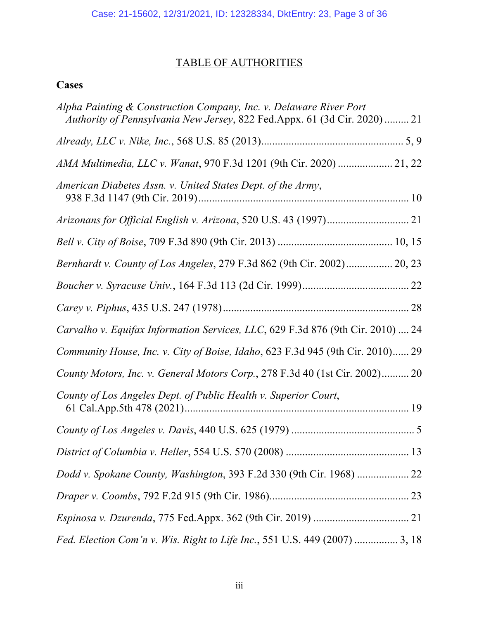# TABLE OF AUTHORITIES

# **Cases**

| Alpha Painting & Construction Company, Inc. v. Delaware River Port<br>Authority of Pennsylvania New Jersey, 822 Fed.Appx. 61 (3d Cir. 2020)  21 |
|-------------------------------------------------------------------------------------------------------------------------------------------------|
|                                                                                                                                                 |
|                                                                                                                                                 |
| American Diabetes Assn. v. United States Dept. of the Army,                                                                                     |
|                                                                                                                                                 |
|                                                                                                                                                 |
| Bernhardt v. County of Los Angeles, 279 F.3d 862 (9th Cir. 2002) 20, 23                                                                         |
|                                                                                                                                                 |
|                                                                                                                                                 |
| Carvalho v. Equifax Information Services, LLC, 629 F.3d 876 (9th Cir. 2010)  24                                                                 |
| Community House, Inc. v. City of Boise, Idaho, 623 F.3d 945 (9th Cir. 2010) 29                                                                  |
| County Motors, Inc. v. General Motors Corp., 278 F.3d 40 (1st Cir. 2002) 20                                                                     |
| County of Los Angeles Dept. of Public Health v. Superior Court,                                                                                 |
|                                                                                                                                                 |
|                                                                                                                                                 |
| Dodd v. Spokane County, Washington, 393 F.2d 330 (9th Cir. 1968)  22                                                                            |
|                                                                                                                                                 |
|                                                                                                                                                 |
| Fed. Election Com'n v. Wis. Right to Life Inc., 551 U.S. 449 (2007)  3, 18                                                                      |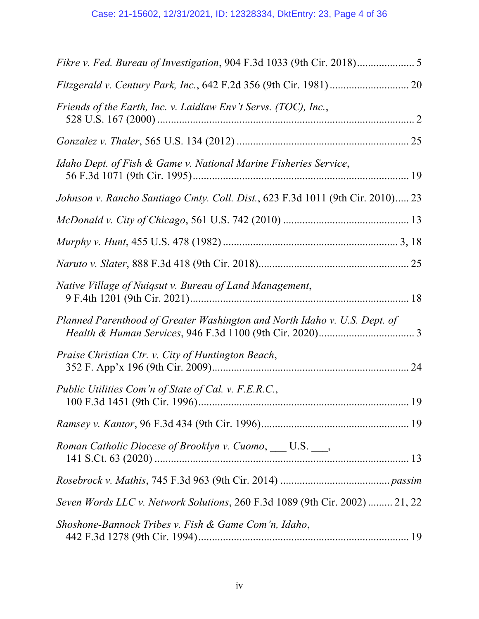| Friends of the Earth, Inc. v. Laidlaw Env't Servs. (TOC), Inc.,                |
|--------------------------------------------------------------------------------|
|                                                                                |
| Idaho Dept. of Fish & Game v. National Marine Fisheries Service,               |
| Johnson v. Rancho Santiago Cmty. Coll. Dist., 623 F.3d 1011 (9th Cir. 2010) 23 |
|                                                                                |
|                                                                                |
|                                                                                |
| Native Village of Nuiqsut v. Bureau of Land Management,                        |
| Planned Parenthood of Greater Washington and North Idaho v. U.S. Dept. of      |
| Praise Christian Ctr. v. City of Huntington Beach,                             |
| Public Utilities Com'n of State of Cal. v. F.E.R.C.,                           |
|                                                                                |
| Roman Catholic Diocese of Brooklyn v. Cuomo, __ U.S. __,                       |
|                                                                                |
| Seven Words LLC v. Network Solutions, 260 F.3d 1089 (9th Cir. 2002)  21, 22    |
| Shoshone-Bannock Tribes v. Fish & Game Com'n, Idaho,                           |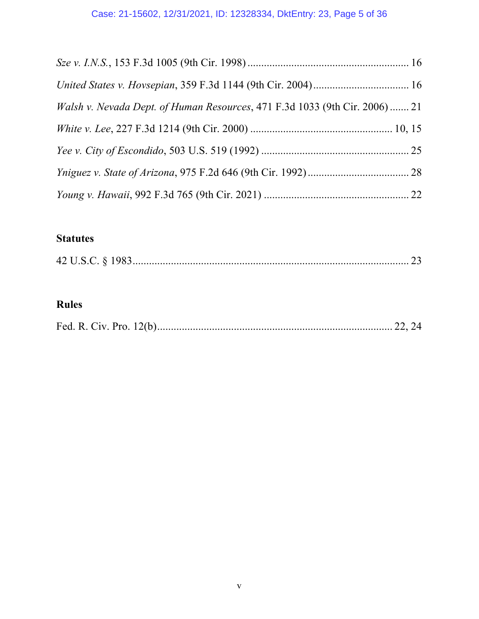# Case: 21-15602, 12/31/2021, ID: 12328334, DktEntry: 23, Page 5 of 36

| Walsh v. Nevada Dept. of Human Resources, 471 F.3d 1033 (9th Cir. 2006)  21 |  |
|-----------------------------------------------------------------------------|--|
|                                                                             |  |
|                                                                             |  |
|                                                                             |  |
|                                                                             |  |

# **Statutes**

|--|

# **Rules**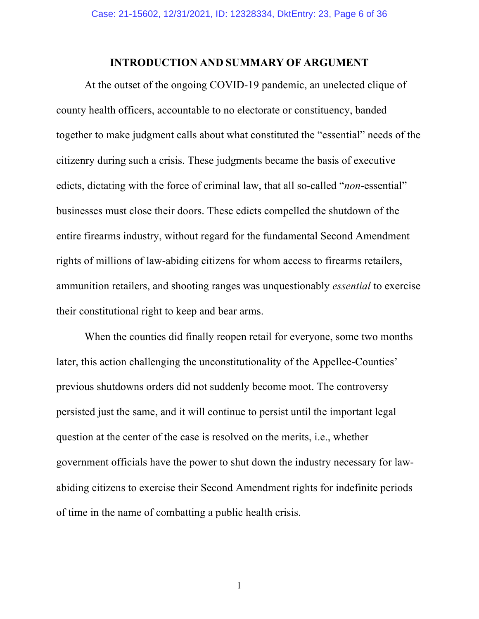### **INTRODUCTION AND SUMMARY OF ARGUMENT**

At the outset of the ongoing COVID-19 pandemic, an unelected clique of county health officers, accountable to no electorate or constituency, banded together to make judgment calls about what constituted the "essential" needs of the citizenry during such a crisis. These judgments became the basis of executive edicts, dictating with the force of criminal law, that all so-called "*non*-essential" businesses must close their doors. These edicts compelled the shutdown of the entire firearms industry, without regard for the fundamental Second Amendment rights of millions of law-abiding citizens for whom access to firearms retailers, ammunition retailers, and shooting ranges was unquestionably *essential* to exercise their constitutional right to keep and bear arms.

When the counties did finally reopen retail for everyone, some two months later, this action challenging the unconstitutionality of the Appellee-Counties' previous shutdowns orders did not suddenly become moot. The controversy persisted just the same, and it will continue to persist until the important legal question at the center of the case is resolved on the merits, i.e., whether government officials have the power to shut down the industry necessary for lawabiding citizens to exercise their Second Amendment rights for indefinite periods of time in the name of combatting a public health crisis.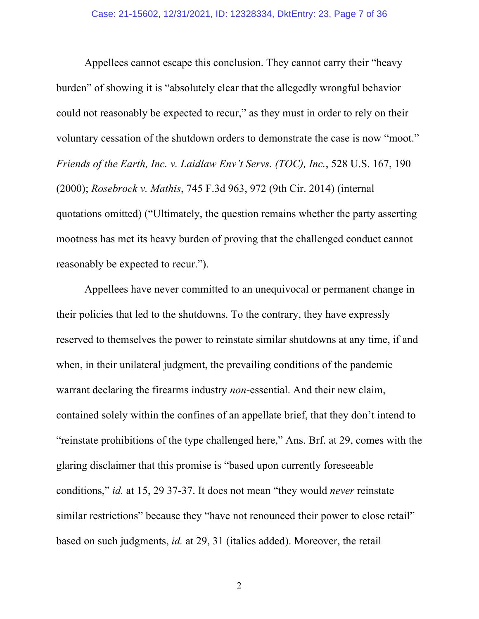Appellees cannot escape this conclusion. They cannot carry their "heavy burden" of showing it is "absolutely clear that the allegedly wrongful behavior could not reasonably be expected to recur," as they must in order to rely on their voluntary cessation of the shutdown orders to demonstrate the case is now "moot." *Friends of the Earth, Inc. v. Laidlaw Env't Servs. (TOC), Inc.*, 528 U.S. 167, 190 (2000); *Rosebrock v. Mathis*, 745 F.3d 963, 972 (9th Cir. 2014) (internal quotations omitted) ("Ultimately, the question remains whether the party asserting mootness has met its heavy burden of proving that the challenged conduct cannot reasonably be expected to recur.").

Appellees have never committed to an unequivocal or permanent change in their policies that led to the shutdowns. To the contrary, they have expressly reserved to themselves the power to reinstate similar shutdowns at any time, if and when, in their unilateral judgment, the prevailing conditions of the pandemic warrant declaring the firearms industry *non*-essential. And their new claim, contained solely within the confines of an appellate brief, that they don't intend to "reinstate prohibitions of the type challenged here," Ans. Brf. at 29, comes with the glaring disclaimer that this promise is "based upon currently foreseeable conditions," *id.* at 15, 29 37-37. It does not mean "they would *never* reinstate similar restrictions" because they "have not renounced their power to close retail" based on such judgments, *id.* at 29, 31 (italics added). Moreover, the retail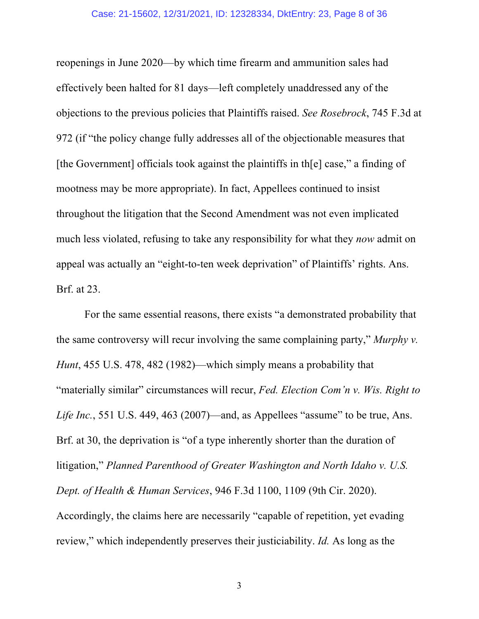reopenings in June 2020—by which time firearm and ammunition sales had effectively been halted for 81 days—left completely unaddressed any of the objections to the previous policies that Plaintiffs raised. *See Rosebrock*, 745 F.3d at 972 (if "the policy change fully addresses all of the objectionable measures that [the Government] officials took against the plaintiffs in th[e] case," a finding of mootness may be more appropriate). In fact, Appellees continued to insist throughout the litigation that the Second Amendment was not even implicated much less violated, refusing to take any responsibility for what they *now* admit on appeal was actually an "eight-to-ten week deprivation" of Plaintiffs' rights. Ans. Brf. at 23.

For the same essential reasons, there exists "a demonstrated probability that the same controversy will recur involving the same complaining party," *Murphy v. Hunt*, 455 U.S. 478, 482 (1982)—which simply means a probability that "materially similar" circumstances will recur, *Fed. Election Com'n v. Wis. Right to Life Inc.*, 551 U.S. 449, 463 (2007)—and, as Appellees "assume" to be true, Ans. Brf. at 30, the deprivation is "of a type inherently shorter than the duration of litigation," *Planned Parenthood of Greater Washington and North Idaho v. U.S. Dept. of Health & Human Services*, 946 F.3d 1100, 1109 (9th Cir. 2020). Accordingly, the claims here are necessarily "capable of repetition, yet evading review," which independently preserves their justiciability. *Id.* As long as the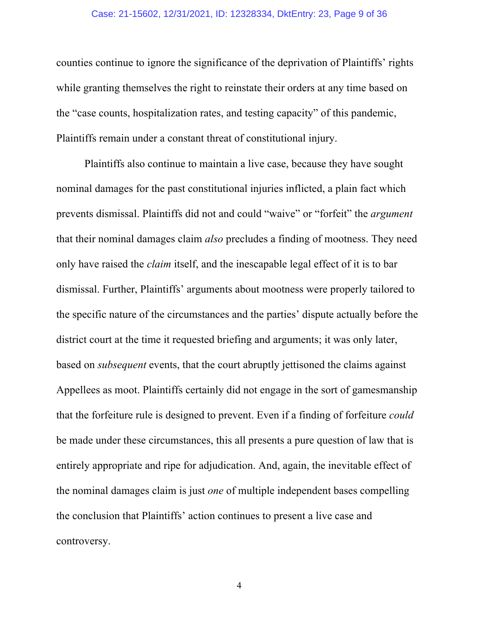#### Case: 21-15602, 12/31/2021, ID: 12328334, DktEntry: 23, Page 9 of 36

counties continue to ignore the significance of the deprivation of Plaintiffs' rights while granting themselves the right to reinstate their orders at any time based on the "case counts, hospitalization rates, and testing capacity" of this pandemic, Plaintiffs remain under a constant threat of constitutional injury.

Plaintiffs also continue to maintain a live case, because they have sought nominal damages for the past constitutional injuries inflicted, a plain fact which prevents dismissal. Plaintiffs did not and could "waive" or "forfeit" the *argument* that their nominal damages claim *also* precludes a finding of mootness. They need only have raised the *claim* itself, and the inescapable legal effect of it is to bar dismissal. Further, Plaintiffs' arguments about mootness were properly tailored to the specific nature of the circumstances and the parties' dispute actually before the district court at the time it requested briefing and arguments; it was only later, based on *subsequent* events, that the court abruptly jettisoned the claims against Appellees as moot. Plaintiffs certainly did not engage in the sort of gamesmanship that the forfeiture rule is designed to prevent. Even if a finding of forfeiture *could* be made under these circumstances, this all presents a pure question of law that is entirely appropriate and ripe for adjudication. And, again, the inevitable effect of the nominal damages claim is just *one* of multiple independent bases compelling the conclusion that Plaintiffs' action continues to present a live case and controversy.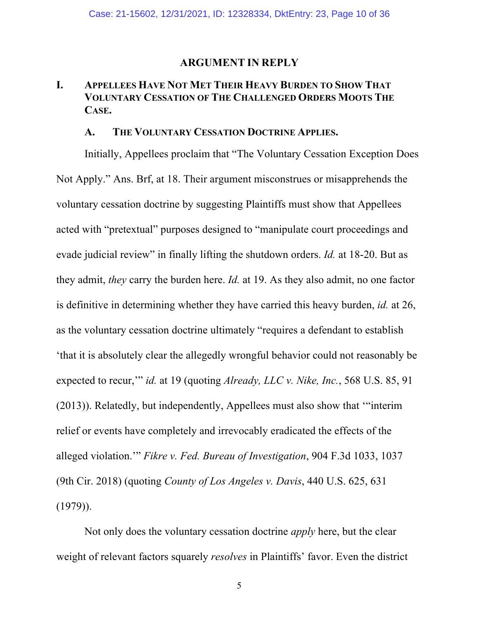#### **ARGUMENT IN REPLY**

### **I. APPELLEES HAVE NOT MET THEIR HEAVY BURDEN TO SHOW THAT VOLUNTARY CESSATION OF THE CHALLENGED ORDERS MOOTS THE CASE.**

#### **A. THE VOLUNTARY CESSATION DOCTRINE APPLIES.**

Initially, Appellees proclaim that "The Voluntary Cessation Exception Does Not Apply." Ans. Brf, at 18. Their argument misconstrues or misapprehends the voluntary cessation doctrine by suggesting Plaintiffs must show that Appellees acted with "pretextual" purposes designed to "manipulate court proceedings and evade judicial review" in finally lifting the shutdown orders. *Id.* at 18-20. But as they admit, *they* carry the burden here. *Id.* at 19. As they also admit, no one factor is definitive in determining whether they have carried this heavy burden, *id.* at 26, as the voluntary cessation doctrine ultimately "requires a defendant to establish 'that it is absolutely clear the allegedly wrongful behavior could not reasonably be expected to recur,'" *id.* at 19 (quoting *Already, LLC v. Nike, Inc.*, 568 U.S. 85, 91 (2013)). Relatedly, but independently, Appellees must also show that '"interim relief or events have completely and irrevocably eradicated the effects of the alleged violation.'" *Fikre v. Fed. Bureau of Investigation*, 904 F.3d 1033, 1037 (9th Cir. 2018) (quoting *County of Los Angeles v. Davis*, 440 U.S. 625, 631  $(1979)$ ).

Not only does the voluntary cessation doctrine *apply* here, but the clear weight of relevant factors squarely *resolves* in Plaintiffs' favor. Even the district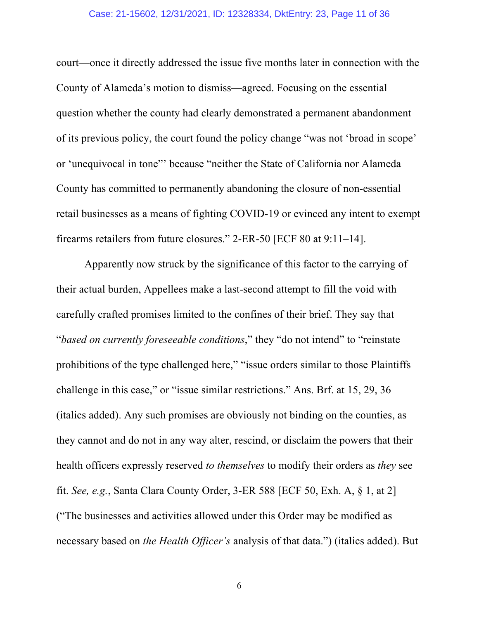#### Case: 21-15602, 12/31/2021, ID: 12328334, DktEntry: 23, Page 11 of 36

court—once it directly addressed the issue five months later in connection with the County of Alameda's motion to dismiss—agreed. Focusing on the essential question whether the county had clearly demonstrated a permanent abandonment of its previous policy, the court found the policy change "was not 'broad in scope' or 'unequivocal in tone"' because "neither the State of California nor Alameda County has committed to permanently abandoning the closure of non-essential retail businesses as a means of fighting COVID-19 or evinced any intent to exempt firearms retailers from future closures." 2-ER-50 [ECF 80 at 9:11–14].

Apparently now struck by the significance of this factor to the carrying of their actual burden, Appellees make a last-second attempt to fill the void with carefully crafted promises limited to the confines of their brief. They say that "*based on currently foreseeable conditions*," they "do not intend" to "reinstate prohibitions of the type challenged here," "issue orders similar to those Plaintiffs challenge in this case," or "issue similar restrictions." Ans. Brf. at 15, 29, 36 (italics added). Any such promises are obviously not binding on the counties, as they cannot and do not in any way alter, rescind, or disclaim the powers that their health officers expressly reserved *to themselves* to modify their orders as *they* see fit. *See, e.g.*, Santa Clara County Order, 3-ER 588 [ECF 50, Exh. A, § 1, at 2] ("The businesses and activities allowed under this Order may be modified as necessary based on *the Health Officer's* analysis of that data.") (italics added). But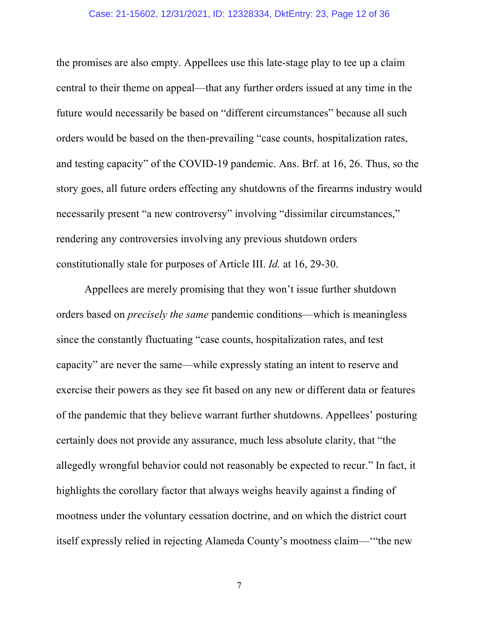#### Case: 21-15602, 12/31/2021, ID: 12328334, DktEntry: 23, Page 12 of 36

the promises are also empty. Appellees use this late-stage play to tee up a claim central to their theme on appeal—that any further orders issued at any time in the future would necessarily be based on "different circumstances" because all such orders would be based on the then-prevailing "case counts, hospitalization rates, and testing capacity" of the COVID-19 pandemic. Ans. Brf. at 16, 26. Thus, so the story goes, all future orders effecting any shutdowns of the firearms industry would necessarily present "a new controversy" involving "dissimilar circumstances," rendering any controversies involving any previous shutdown orders constitutionally stale for purposes of Article III. *Id.* at 16, 29-30.

Appellees are merely promising that they won't issue further shutdown orders based on *precisely the same* pandemic conditions—which is meaningless since the constantly fluctuating "case counts, hospitalization rates, and test capacity" are never the same—while expressly stating an intent to reserve and exercise their powers as they see fit based on any new or different data or features of the pandemic that they believe warrant further shutdowns. Appellees' posturing certainly does not provide any assurance, much less absolute clarity, that "the allegedly wrongful behavior could not reasonably be expected to recur." In fact, it highlights the corollary factor that always weighs heavily against a finding of mootness under the voluntary cessation doctrine, and on which the district court itself expressly relied in rejecting Alameda County's mootness claim—'"the new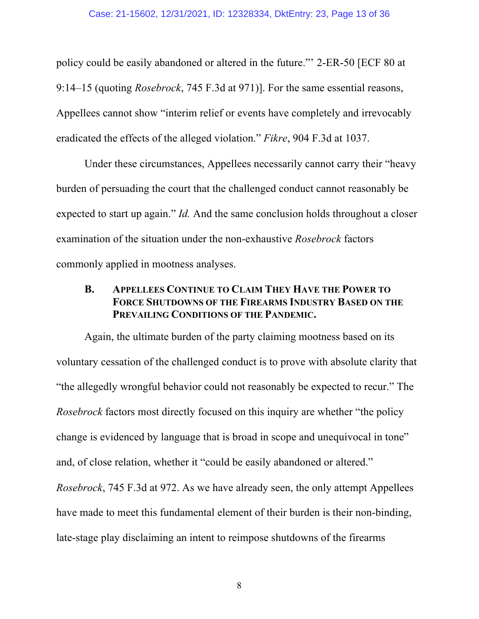policy could be easily abandoned or altered in the future."' 2-ER-50 [ECF 80 at 9:14–15 (quoting *Rosebrock*, 745 F.3d at 971)]. For the same essential reasons, Appellees cannot show "interim relief or events have completely and irrevocably eradicated the effects of the alleged violation." *Fikre*, 904 F.3d at 1037.

Under these circumstances, Appellees necessarily cannot carry their "heavy burden of persuading the court that the challenged conduct cannot reasonably be expected to start up again." *Id.* And the same conclusion holds throughout a closer examination of the situation under the non-exhaustive *Rosebrock* factors commonly applied in mootness analyses.

### **B. APPELLEES CONTINUE TO CLAIM THEY HAVE THE POWER TO FORCE SHUTDOWNS OF THE FIREARMS INDUSTRY BASED ON THE PREVAILING CONDITIONS OF THE PANDEMIC.**

Again, the ultimate burden of the party claiming mootness based on its voluntary cessation of the challenged conduct is to prove with absolute clarity that "the allegedly wrongful behavior could not reasonably be expected to recur." The *Rosebrock* factors most directly focused on this inquiry are whether "the policy change is evidenced by language that is broad in scope and unequivocal in tone" and, of close relation, whether it "could be easily abandoned or altered." *Rosebrock*, 745 F.3d at 972. As we have already seen, the only attempt Appellees have made to meet this fundamental element of their burden is their non-binding, late-stage play disclaiming an intent to reimpose shutdowns of the firearms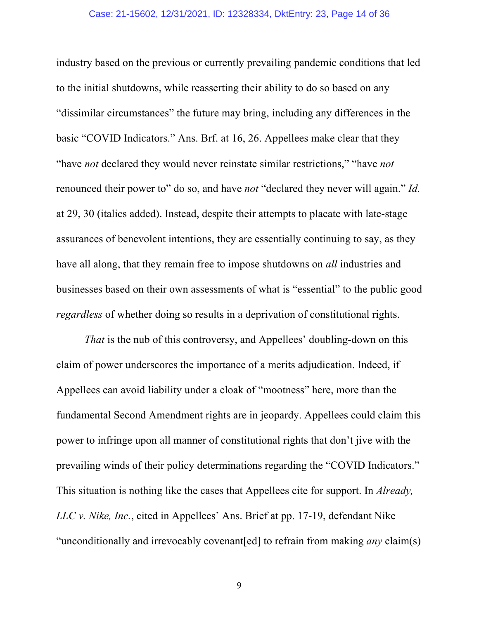#### Case: 21-15602, 12/31/2021, ID: 12328334, DktEntry: 23, Page 14 of 36

industry based on the previous or currently prevailing pandemic conditions that led to the initial shutdowns, while reasserting their ability to do so based on any "dissimilar circumstances" the future may bring, including any differences in the basic "COVID Indicators." Ans. Brf. at 16, 26. Appellees make clear that they "have *not* declared they would never reinstate similar restrictions," "have *not* renounced their power to" do so, and have *not* "declared they never will again." *Id.* at 29, 30 (italics added). Instead, despite their attempts to placate with late-stage assurances of benevolent intentions, they are essentially continuing to say, as they have all along, that they remain free to impose shutdowns on *all* industries and businesses based on their own assessments of what is "essential" to the public good *regardless* of whether doing so results in a deprivation of constitutional rights.

*That* is the nub of this controversy, and Appellees' doubling-down on this claim of power underscores the importance of a merits adjudication. Indeed, if Appellees can avoid liability under a cloak of "mootness" here, more than the fundamental Second Amendment rights are in jeopardy. Appellees could claim this power to infringe upon all manner of constitutional rights that don't jive with the prevailing winds of their policy determinations regarding the "COVID Indicators." This situation is nothing like the cases that Appellees cite for support. In *Already, LLC v. Nike, Inc.*, cited in Appellees' Ans. Brief at pp. 17-19, defendant Nike "unconditionally and irrevocably covenant[ed] to refrain from making *any* claim(s)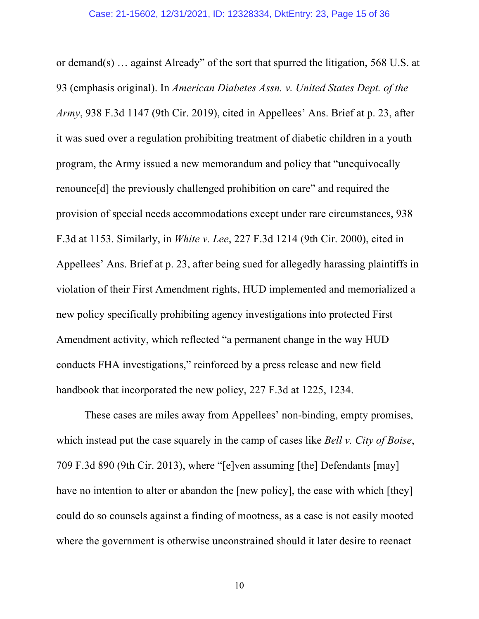or demand(s) … against Already" of the sort that spurred the litigation, 568 U.S. at 93 (emphasis original). In *American Diabetes Assn. v. United States Dept. of the Army*, 938 F.3d 1147 (9th Cir. 2019), cited in Appellees' Ans. Brief at p. 23, after it was sued over a regulation prohibiting treatment of diabetic children in a youth program, the Army issued a new memorandum and policy that "unequivocally renounce[d] the previously challenged prohibition on care" and required the provision of special needs accommodations except under rare circumstances, 938 F.3d at 1153. Similarly, in *White v. Lee*, 227 F.3d 1214 (9th Cir. 2000), cited in Appellees' Ans. Brief at p. 23, after being sued for allegedly harassing plaintiffs in violation of their First Amendment rights, HUD implemented and memorialized a new policy specifically prohibiting agency investigations into protected First Amendment activity, which reflected "a permanent change in the way HUD conducts FHA investigations," reinforced by a press release and new field handbook that incorporated the new policy, 227 F.3d at 1225, 1234.

These cases are miles away from Appellees' non-binding, empty promises, which instead put the case squarely in the camp of cases like *Bell v. City of Boise*, 709 F.3d 890 (9th Cir. 2013), where "[e]ven assuming [the] Defendants [may] have no intention to alter or abandon the [new policy], the ease with which [they] could do so counsels against a finding of mootness, as a case is not easily mooted where the government is otherwise unconstrained should it later desire to reenact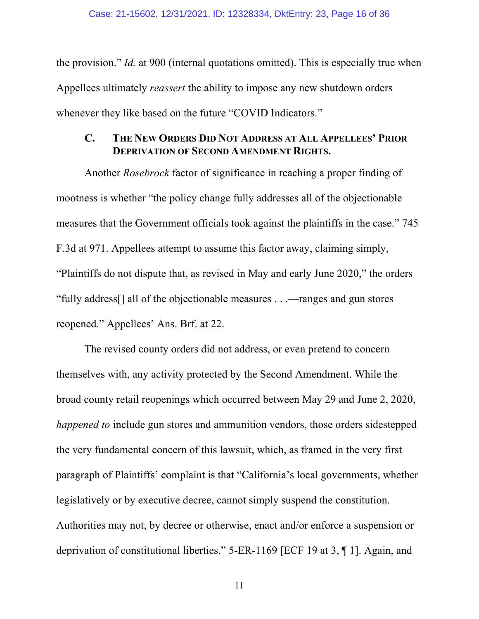the provision." *Id.* at 900 (internal quotations omitted). This is especially true when Appellees ultimately *reassert* the ability to impose any new shutdown orders whenever they like based on the future "COVID Indicators."

### **C. THE NEW ORDERS DID NOT ADDRESS AT ALL APPELLEES' PRIOR DEPRIVATION OF SECOND AMENDMENT RIGHTS.**

Another *Rosebrock* factor of significance in reaching a proper finding of mootness is whether "the policy change fully addresses all of the objectionable measures that the Government officials took against the plaintiffs in the case." 745 F.3d at 971. Appellees attempt to assume this factor away, claiming simply, "Plaintiffs do not dispute that, as revised in May and early June 2020," the orders "fully address[] all of the objectionable measures . . .—ranges and gun stores reopened." Appellees' Ans. Brf. at 22.

The revised county orders did not address, or even pretend to concern themselves with, any activity protected by the Second Amendment. While the broad county retail reopenings which occurred between May 29 and June 2, 2020, *happened to* include gun stores and ammunition vendors, those orders sidestepped the very fundamental concern of this lawsuit, which, as framed in the very first paragraph of Plaintiffs' complaint is that "California's local governments, whether legislatively or by executive decree, cannot simply suspend the constitution. Authorities may not, by decree or otherwise, enact and/or enforce a suspension or deprivation of constitutional liberties." 5-ER-1169 [ECF 19 at 3, ¶ 1]. Again, and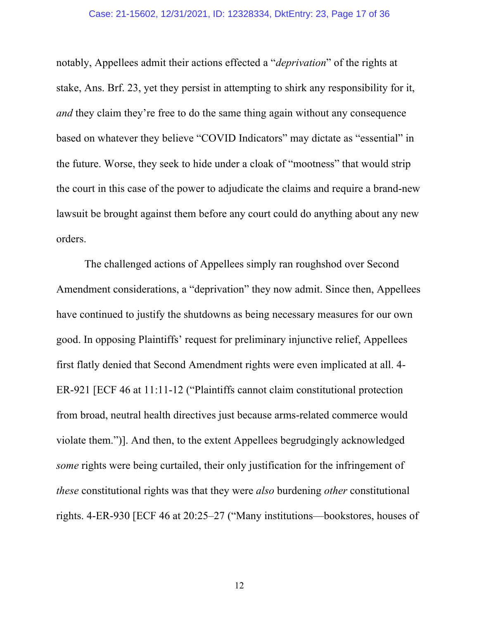#### Case: 21-15602, 12/31/2021, ID: 12328334, DktEntry: 23, Page 17 of 36

notably, Appellees admit their actions effected a "*deprivation*" of the rights at stake, Ans. Brf. 23, yet they persist in attempting to shirk any responsibility for it, *and* they claim they're free to do the same thing again without any consequence based on whatever they believe "COVID Indicators" may dictate as "essential" in the future. Worse, they seek to hide under a cloak of "mootness" that would strip the court in this case of the power to adjudicate the claims and require a brand-new lawsuit be brought against them before any court could do anything about any new orders.

The challenged actions of Appellees simply ran roughshod over Second Amendment considerations, a "deprivation" they now admit. Since then, Appellees have continued to justify the shutdowns as being necessary measures for our own good. In opposing Plaintiffs' request for preliminary injunctive relief, Appellees first flatly denied that Second Amendment rights were even implicated at all. 4- ER-921 [ECF 46 at 11:11-12 ("Plaintiffs cannot claim constitutional protection from broad, neutral health directives just because arms-related commerce would violate them.")]. And then, to the extent Appellees begrudgingly acknowledged *some* rights were being curtailed, their only justification for the infringement of *these* constitutional rights was that they were *also* burdening *other* constitutional rights. 4-ER-930 [ECF 46 at 20:25–27 ("Many institutions—bookstores, houses of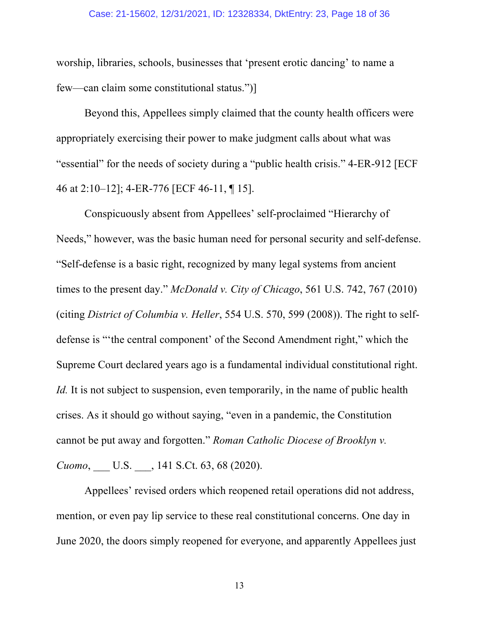#### Case: 21-15602, 12/31/2021, ID: 12328334, DktEntry: 23, Page 18 of 36

worship, libraries, schools, businesses that 'present erotic dancing' to name a few—can claim some constitutional status.")]

Beyond this, Appellees simply claimed that the county health officers were appropriately exercising their power to make judgment calls about what was "essential" for the needs of society during a "public health crisis." 4-ER-912 [ECF 46 at 2:10–12]; 4-ER-776 [ECF 46-11, ¶ 15].

Conspicuously absent from Appellees' self-proclaimed "Hierarchy of Needs," however, was the basic human need for personal security and self-defense. "Self-defense is a basic right, recognized by many legal systems from ancient times to the present day." *McDonald v. City of Chicago*, 561 U.S. 742, 767 (2010) (citing *District of Columbia v. Heller*, 554 U.S. 570, 599 (2008)). The right to selfdefense is "'the central component' of the Second Amendment right," which the Supreme Court declared years ago is a fundamental individual constitutional right. *Id.* It is not subject to suspension, even temporarily, in the name of public health crises. As it should go without saying, "even in a pandemic, the Constitution cannot be put away and forgotten." *Roman Catholic Diocese of Brooklyn v. Cuomo*, \_\_\_ U.S. \_\_\_, 141 S.Ct. 63, 68 (2020).

Appellees' revised orders which reopened retail operations did not address, mention, or even pay lip service to these real constitutional concerns. One day in June 2020, the doors simply reopened for everyone, and apparently Appellees just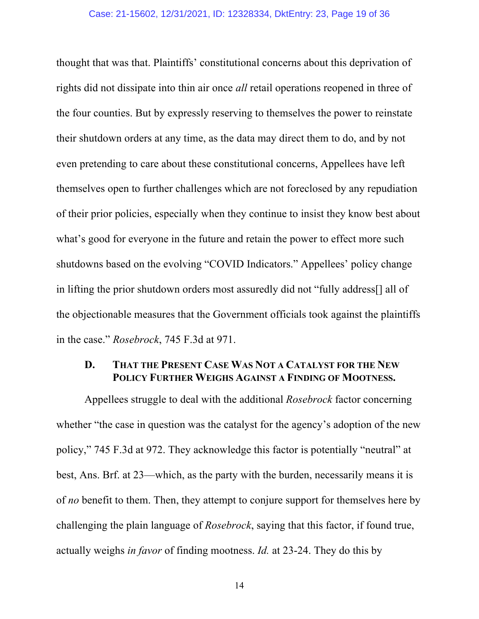#### Case: 21-15602, 12/31/2021, ID: 12328334, DktEntry: 23, Page 19 of 36

thought that was that. Plaintiffs' constitutional concerns about this deprivation of rights did not dissipate into thin air once *all* retail operations reopened in three of the four counties. But by expressly reserving to themselves the power to reinstate their shutdown orders at any time, as the data may direct them to do, and by not even pretending to care about these constitutional concerns, Appellees have left themselves open to further challenges which are not foreclosed by any repudiation of their prior policies, especially when they continue to insist they know best about what's good for everyone in the future and retain the power to effect more such shutdowns based on the evolving "COVID Indicators." Appellees' policy change in lifting the prior shutdown orders most assuredly did not "fully address[] all of the objectionable measures that the Government officials took against the plaintiffs in the case." *Rosebrock*, 745 F.3d at 971.

### **D. THAT THE PRESENT CASE WAS NOT A CATALYST FOR THE NEW POLICY FURTHER WEIGHS AGAINST A FINDING OF MOOTNESS.**

Appellees struggle to deal with the additional *Rosebrock* factor concerning whether "the case in question was the catalyst for the agency's adoption of the new policy," 745 F.3d at 972. They acknowledge this factor is potentially "neutral" at best, Ans. Brf. at 23—which, as the party with the burden, necessarily means it is of *no* benefit to them. Then, they attempt to conjure support for themselves here by challenging the plain language of *Rosebrock*, saying that this factor, if found true, actually weighs *in favor* of finding mootness. *Id.* at 23-24. They do this by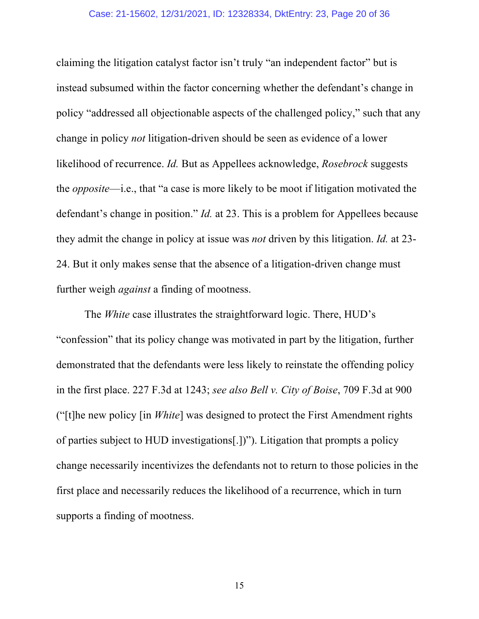#### Case: 21-15602, 12/31/2021, ID: 12328334, DktEntry: 23, Page 20 of 36

claiming the litigation catalyst factor isn't truly "an independent factor" but is instead subsumed within the factor concerning whether the defendant's change in policy "addressed all objectionable aspects of the challenged policy," such that any change in policy *not* litigation-driven should be seen as evidence of a lower likelihood of recurrence. *Id.* But as Appellees acknowledge, *Rosebrock* suggests the *opposite*—i.e., that "a case is more likely to be moot if litigation motivated the defendant's change in position." *Id.* at 23. This is a problem for Appellees because they admit the change in policy at issue was *not* driven by this litigation. *Id.* at 23- 24. But it only makes sense that the absence of a litigation-driven change must further weigh *against* a finding of mootness.

The *White* case illustrates the straightforward logic. There, HUD's "confession" that its policy change was motivated in part by the litigation, further demonstrated that the defendants were less likely to reinstate the offending policy in the first place. 227 F.3d at 1243; *see also Bell v. City of Boise*, 709 F.3d at 900 ("[t]he new policy [in *White*] was designed to protect the First Amendment rights of parties subject to HUD investigations[.])"). Litigation that prompts a policy change necessarily incentivizes the defendants not to return to those policies in the first place and necessarily reduces the likelihood of a recurrence, which in turn supports a finding of mootness.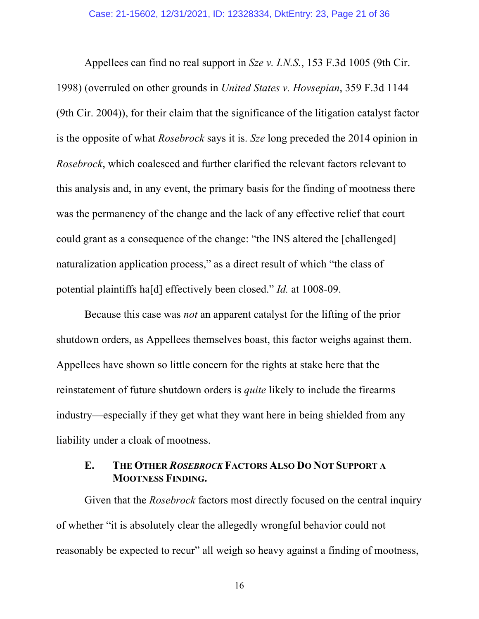Appellees can find no real support in *Sze v. I.N.S.*, 153 F.3d 1005 (9th Cir. 1998) (overruled on other grounds in *United States v. Hovsepian*, 359 F.3d 1144 (9th Cir. 2004)), for their claim that the significance of the litigation catalyst factor is the opposite of what *Rosebrock* says it is. *Sze* long preceded the 2014 opinion in *Rosebrock*, which coalesced and further clarified the relevant factors relevant to this analysis and, in any event, the primary basis for the finding of mootness there was the permanency of the change and the lack of any effective relief that court could grant as a consequence of the change: "the INS altered the [challenged] naturalization application process," as a direct result of which "the class of potential plaintiffs ha[d] effectively been closed." *Id.* at 1008-09.

Because this case was *not* an apparent catalyst for the lifting of the prior shutdown orders, as Appellees themselves boast, this factor weighs against them. Appellees have shown so little concern for the rights at stake here that the reinstatement of future shutdown orders is *quite* likely to include the firearms industry—especially if they get what they want here in being shielded from any liability under a cloak of mootness.

### **E. THE OTHER** *ROSEBROCK* **FACTORS ALSO DO NOT SUPPORT A MOOTNESS FINDING.**

Given that the *Rosebrock* factors most directly focused on the central inquiry of whether "it is absolutely clear the allegedly wrongful behavior could not reasonably be expected to recur" all weigh so heavy against a finding of mootness,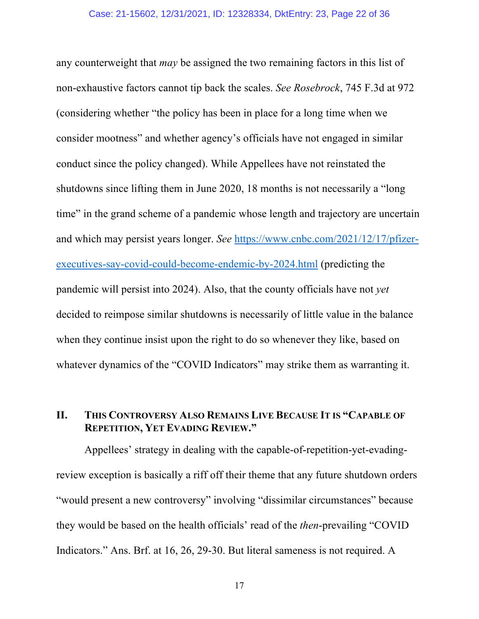#### Case: 21-15602, 12/31/2021, ID: 12328334, DktEntry: 23, Page 22 of 36

any counterweight that *may* be assigned the two remaining factors in this list of non-exhaustive factors cannot tip back the scales. *See Rosebrock*, 745 F.3d at 972 (considering whether "the policy has been in place for a long time when we consider mootness" and whether agency's officials have not engaged in similar conduct since the policy changed). While Appellees have not reinstated the shutdowns since lifting them in June 2020, 18 months is not necessarily a "long time" in the grand scheme of a pandemic whose length and trajectory are uncertain and which may persist years longer. *See* https://www.cnbc.com/2021/12/17/pfizerexecutives-say-covid-could-become-endemic-by-2024.html (predicting the pandemic will persist into 2024). Also, that the county officials have not *yet* decided to reimpose similar shutdowns is necessarily of little value in the balance when they continue insist upon the right to do so whenever they like, based on whatever dynamics of the "COVID Indicators" may strike them as warranting it.

## **II. THIS CONTROVERSY ALSO REMAINS LIVE BECAUSE IT IS "CAPABLE OF REPETITION, YET EVADING REVIEW."**

Appellees' strategy in dealing with the capable-of-repetition-yet-evadingreview exception is basically a riff off their theme that any future shutdown orders "would present a new controversy" involving "dissimilar circumstances" because they would be based on the health officials' read of the *then*-prevailing "COVID Indicators." Ans. Brf. at 16, 26, 29-30. But literal sameness is not required. A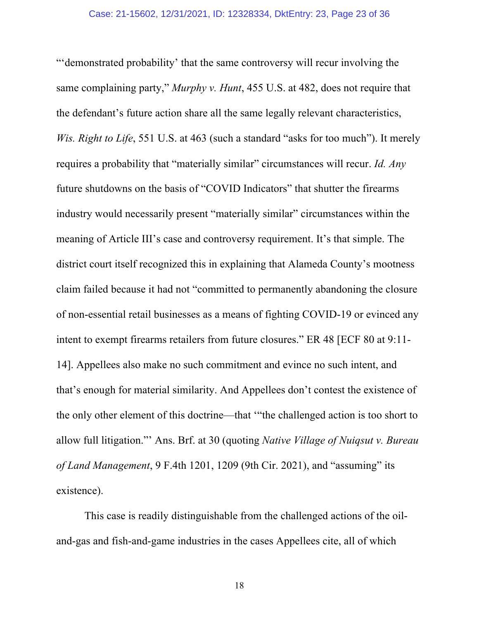"'demonstrated probability' that the same controversy will recur involving the same complaining party," *Murphy v. Hunt*, 455 U.S. at 482, does not require that the defendant's future action share all the same legally relevant characteristics, *Wis. Right to Life*, 551 U.S. at 463 (such a standard "asks for too much"). It merely requires a probability that "materially similar" circumstances will recur. *Id. Any* future shutdowns on the basis of "COVID Indicators" that shutter the firearms industry would necessarily present "materially similar" circumstances within the meaning of Article III's case and controversy requirement. It's that simple. The district court itself recognized this in explaining that Alameda County's mootness claim failed because it had not "committed to permanently abandoning the closure of non-essential retail businesses as a means of fighting COVID-19 or evinced any intent to exempt firearms retailers from future closures." ER 48 [ECF 80 at 9:11- 14]. Appellees also make no such commitment and evince no such intent, and that's enough for material similarity. And Appellees don't contest the existence of the only other element of this doctrine—that '"the challenged action is too short to allow full litigation."' Ans. Brf. at 30 (quoting *Native Village of Nuiqsut v. Bureau of Land Management*, 9 F.4th 1201, 1209 (9th Cir. 2021), and "assuming" its existence).

This case is readily distinguishable from the challenged actions of the oiland-gas and fish-and-game industries in the cases Appellees cite, all of which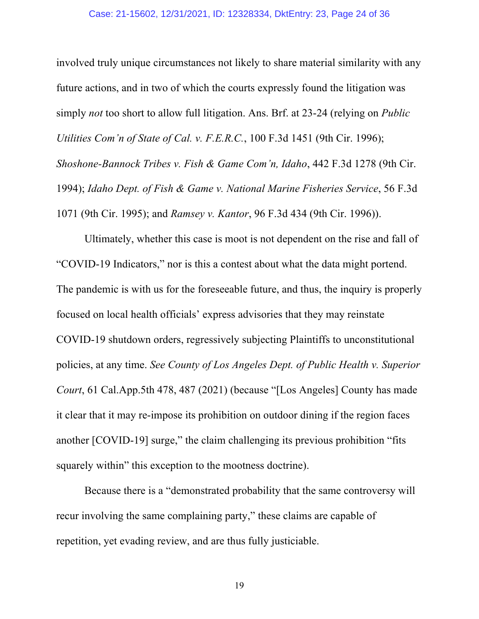#### Case: 21-15602, 12/31/2021, ID: 12328334, DktEntry: 23, Page 24 of 36

involved truly unique circumstances not likely to share material similarity with any future actions, and in two of which the courts expressly found the litigation was simply *not* too short to allow full litigation. Ans. Brf. at 23-24 (relying on *Public Utilities Com'n of State of Cal. v. F.E.R.C.*, 100 F.3d 1451 (9th Cir. 1996); *Shoshone-Bannock Tribes v. Fish & Game Com'n, Idaho*, 442 F.3d 1278 (9th Cir. 1994); *Idaho Dept. of Fish & Game v. National Marine Fisheries Service*, 56 F.3d 1071 (9th Cir. 1995); and *Ramsey v. Kantor*, 96 F.3d 434 (9th Cir. 1996)).

Ultimately, whether this case is moot is not dependent on the rise and fall of "COVID-19 Indicators," nor is this a contest about what the data might portend. The pandemic is with us for the foreseeable future, and thus, the inquiry is properly focused on local health officials' express advisories that they may reinstate COVID-19 shutdown orders, regressively subjecting Plaintiffs to unconstitutional policies, at any time. *See County of Los Angeles Dept. of Public Health v. Superior Court*, 61 Cal.App.5th 478, 487 (2021) (because "[Los Angeles] County has made it clear that it may re-impose its prohibition on outdoor dining if the region faces another [COVID-19] surge," the claim challenging its previous prohibition "fits squarely within" this exception to the mootness doctrine).

Because there is a "demonstrated probability that the same controversy will recur involving the same complaining party," these claims are capable of repetition, yet evading review, and are thus fully justiciable.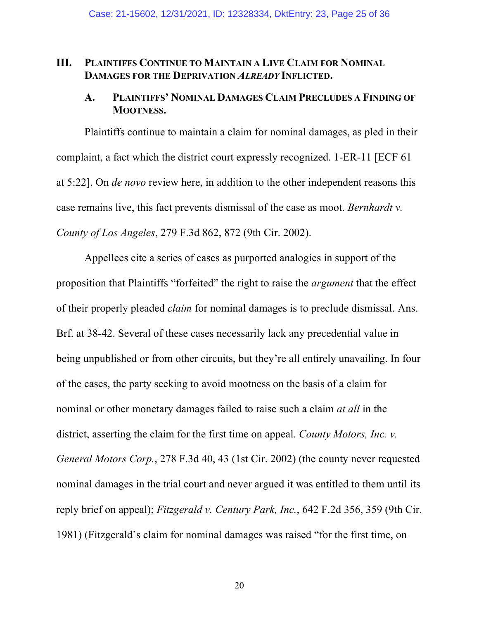### **III. PLAINTIFFS CONTINUE TO MAINTAIN A LIVE CLAIM FOR NOMINAL DAMAGES FOR THE DEPRIVATION** *ALREADY* **INFLICTED.**

### **A. PLAINTIFFS' NOMINAL DAMAGES CLAIM PRECLUDES A FINDING OF MOOTNESS.**

Plaintiffs continue to maintain a claim for nominal damages, as pled in their complaint, a fact which the district court expressly recognized. 1-ER-11 [ECF 61 at 5:22]. On *de novo* review here, in addition to the other independent reasons this case remains live, this fact prevents dismissal of the case as moot. *Bernhardt v. County of Los Angeles*, 279 F.3d 862, 872 (9th Cir. 2002).

Appellees cite a series of cases as purported analogies in support of the proposition that Plaintiffs "forfeited" the right to raise the *argument* that the effect of their properly pleaded *claim* for nominal damages is to preclude dismissal. Ans. Brf. at 38-42. Several of these cases necessarily lack any precedential value in being unpublished or from other circuits, but they're all entirely unavailing. In four of the cases, the party seeking to avoid mootness on the basis of a claim for nominal or other monetary damages failed to raise such a claim *at all* in the district, asserting the claim for the first time on appeal. *County Motors, Inc. v. General Motors Corp.*, 278 F.3d 40, 43 (1st Cir. 2002) (the county never requested nominal damages in the trial court and never argued it was entitled to them until its reply brief on appeal); *Fitzgerald v. Century Park, Inc.*, 642 F.2d 356, 359 (9th Cir. 1981) (Fitzgerald's claim for nominal damages was raised "for the first time, on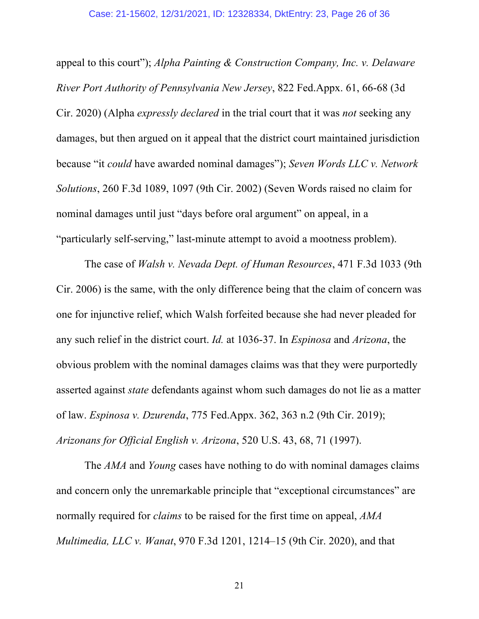appeal to this court"); *Alpha Painting & Construction Company, Inc. v. Delaware River Port Authority of Pennsylvania New Jersey*, 822 Fed.Appx. 61, 66-68 (3d Cir. 2020) (Alpha *expressly declared* in the trial court that it was *not* seeking any damages, but then argued on it appeal that the district court maintained jurisdiction because "it *could* have awarded nominal damages"); *Seven Words LLC v. Network Solutions*, 260 F.3d 1089, 1097 (9th Cir. 2002) (Seven Words raised no claim for nominal damages until just "days before oral argument" on appeal, in a "particularly self-serving," last-minute attempt to avoid a mootness problem).

The case of *Walsh v. Nevada Dept. of Human Resources*, 471 F.3d 1033 (9th Cir. 2006) is the same, with the only difference being that the claim of concern was one for injunctive relief, which Walsh forfeited because she had never pleaded for any such relief in the district court. *Id.* at 1036-37. In *Espinosa* and *Arizona*, the obvious problem with the nominal damages claims was that they were purportedly asserted against *state* defendants against whom such damages do not lie as a matter of law. *Espinosa v. Dzurenda*, 775 Fed.Appx. 362, 363 n.2 (9th Cir. 2019); *Arizonans for Official English v. Arizona*, 520 U.S. 43, 68, 71 (1997).

The *AMA* and *Young* cases have nothing to do with nominal damages claims and concern only the unremarkable principle that "exceptional circumstances" are normally required for *claims* to be raised for the first time on appeal, *AMA Multimedia, LLC v. Wanat*, 970 F.3d 1201, 1214–15 (9th Cir. 2020), and that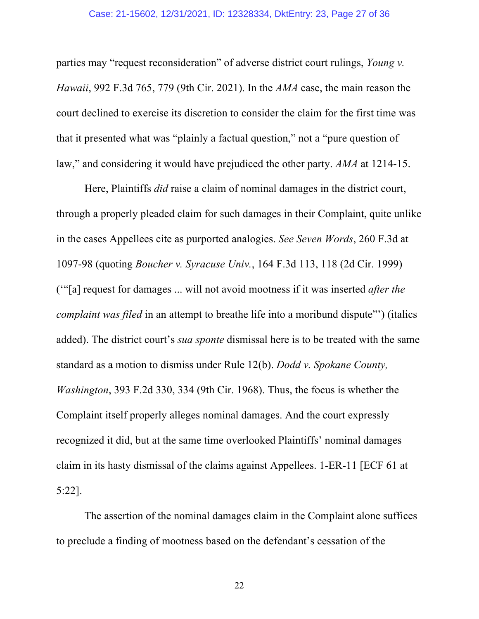#### Case: 21-15602, 12/31/2021, ID: 12328334, DktEntry: 23, Page 27 of 36

parties may "request reconsideration" of adverse district court rulings, *Young v. Hawaii*, 992 F.3d 765, 779 (9th Cir. 2021). In the *AMA* case, the main reason the court declined to exercise its discretion to consider the claim for the first time was that it presented what was "plainly a factual question," not a "pure question of law," and considering it would have prejudiced the other party. *AMA* at 1214-15.

Here, Plaintiffs *did* raise a claim of nominal damages in the district court, through a properly pleaded claim for such damages in their Complaint, quite unlike in the cases Appellees cite as purported analogies. *See Seven Words*, 260 F.3d at 1097-98 (quoting *Boucher v. Syracuse Univ.*, 164 F.3d 113, 118 (2d Cir. 1999) ('"[a] request for damages ... will not avoid mootness if it was inserted *after the complaint was filed* in an attempt to breathe life into a moribund dispute"') (italics added). The district court's *sua sponte* dismissal here is to be treated with the same standard as a motion to dismiss under Rule 12(b). *Dodd v. Spokane County, Washington*, 393 F.2d 330, 334 (9th Cir. 1968). Thus, the focus is whether the Complaint itself properly alleges nominal damages. And the court expressly recognized it did, but at the same time overlooked Plaintiffs' nominal damages claim in its hasty dismissal of the claims against Appellees. 1-ER-11 [ECF 61 at 5:22].

The assertion of the nominal damages claim in the Complaint alone suffices to preclude a finding of mootness based on the defendant's cessation of the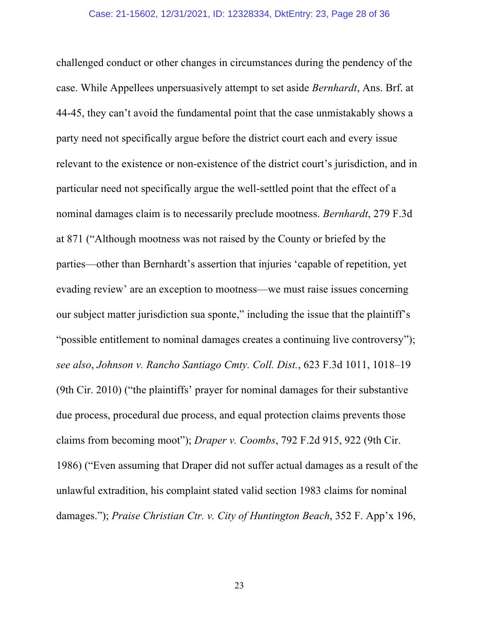challenged conduct or other changes in circumstances during the pendency of the case. While Appellees unpersuasively attempt to set aside *Bernhardt*, Ans. Brf. at 44-45, they can't avoid the fundamental point that the case unmistakably shows a party need not specifically argue before the district court each and every issue relevant to the existence or non-existence of the district court's jurisdiction, and in particular need not specifically argue the well-settled point that the effect of a nominal damages claim is to necessarily preclude mootness. *Bernhardt*, 279 F.3d at 871 ("Although mootness was not raised by the County or briefed by the parties—other than Bernhardt's assertion that injuries 'capable of repetition, yet evading review' are an exception to mootness—we must raise issues concerning our subject matter jurisdiction sua sponte," including the issue that the plaintiff's "possible entitlement to nominal damages creates a continuing live controversy"); *see also*, *Johnson v. Rancho Santiago Cmty. Coll. Dist.*, 623 F.3d 1011, 1018–19 (9th Cir. 2010) ("the plaintiffs' prayer for nominal damages for their substantive due process, procedural due process, and equal protection claims prevents those claims from becoming moot"); *Draper v. Coombs*, 792 F.2d 915, 922 (9th Cir. 1986) ("Even assuming that Draper did not suffer actual damages as a result of the unlawful extradition, his complaint stated valid section 1983 claims for nominal damages."); *Praise Christian Ctr. v. City of Huntington Beach*, 352 F. App'x 196,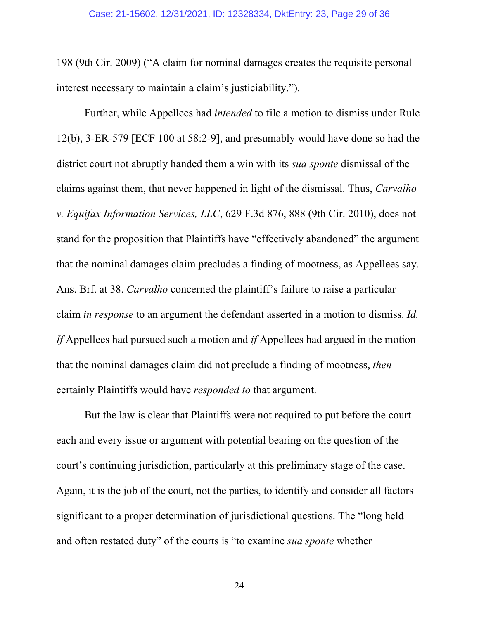198 (9th Cir. 2009) ("A claim for nominal damages creates the requisite personal interest necessary to maintain a claim's justiciability.").

Further, while Appellees had *intended* to file a motion to dismiss under Rule 12(b), 3-ER-579 [ECF 100 at 58:2-9], and presumably would have done so had the district court not abruptly handed them a win with its *sua sponte* dismissal of the claims against them, that never happened in light of the dismissal. Thus, *Carvalho v. Equifax Information Services, LLC*, 629 F.3d 876, 888 (9th Cir. 2010), does not stand for the proposition that Plaintiffs have "effectively abandoned" the argument that the nominal damages claim precludes a finding of mootness, as Appellees say. Ans. Brf. at 38. *Carvalho* concerned the plaintiff's failure to raise a particular claim *in response* to an argument the defendant asserted in a motion to dismiss. *Id. If* Appellees had pursued such a motion and *if* Appellees had argued in the motion that the nominal damages claim did not preclude a finding of mootness, *then* certainly Plaintiffs would have *responded to* that argument.

But the law is clear that Plaintiffs were not required to put before the court each and every issue or argument with potential bearing on the question of the court's continuing jurisdiction, particularly at this preliminary stage of the case. Again, it is the job of the court, not the parties, to identify and consider all factors significant to a proper determination of jurisdictional questions. The "long held and often restated duty" of the courts is "to examine *sua sponte* whether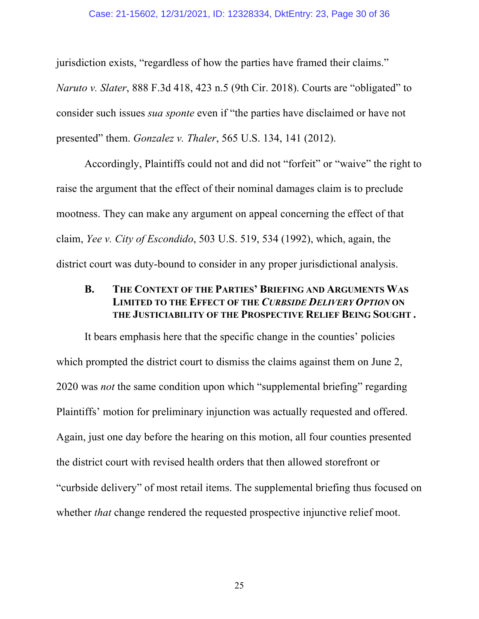#### Case: 21-15602, 12/31/2021, ID: 12328334, DktEntry: 23, Page 30 of 36

jurisdiction exists, "regardless of how the parties have framed their claims." *Naruto v. Slater*, 888 F.3d 418, 423 n.5 (9th Cir. 2018). Courts are "obligated" to consider such issues *sua sponte* even if "the parties have disclaimed or have not presented" them. *Gonzalez v. Thaler*, 565 U.S. 134, 141 (2012).

Accordingly, Plaintiffs could not and did not "forfeit" or "waive" the right to raise the argument that the effect of their nominal damages claim is to preclude mootness. They can make any argument on appeal concerning the effect of that claim, *Yee v. City of Escondido*, 503 U.S. 519, 534 (1992), which, again, the district court was duty-bound to consider in any proper jurisdictional analysis.

### **B. THE CONTEXT OF THE PARTIES' BRIEFING AND ARGUMENTS WAS LIMITED TO THE EFFECT OF THE** *CURBSIDE DELIVERY OPTION* **ON THE JUSTICIABILITY OF THE PROSPECTIVE RELIEF BEING SOUGHT .**

It bears emphasis here that the specific change in the counties' policies which prompted the district court to dismiss the claims against them on June 2, 2020 was *not* the same condition upon which "supplemental briefing" regarding Plaintiffs' motion for preliminary injunction was actually requested and offered. Again, just one day before the hearing on this motion, all four counties presented the district court with revised health orders that then allowed storefront or "curbside delivery" of most retail items. The supplemental briefing thus focused on whether *that* change rendered the requested prospective injunctive relief moot.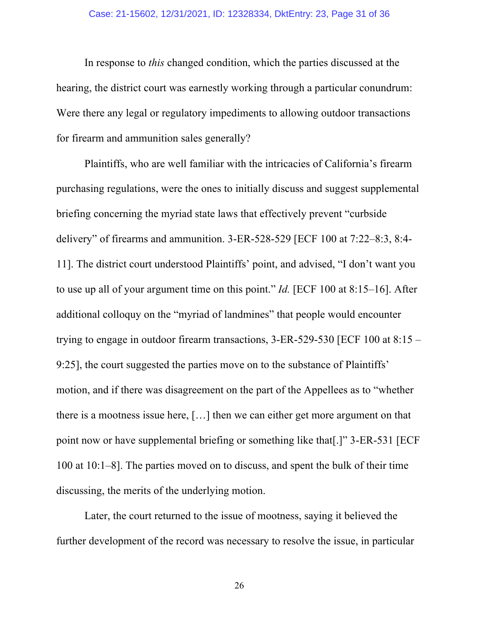#### Case: 21-15602, 12/31/2021, ID: 12328334, DktEntry: 23, Page 31 of 36

In response to *this* changed condition, which the parties discussed at the hearing, the district court was earnestly working through a particular conundrum: Were there any legal or regulatory impediments to allowing outdoor transactions for firearm and ammunition sales generally?

Plaintiffs, who are well familiar with the intricacies of California's firearm purchasing regulations, were the ones to initially discuss and suggest supplemental briefing concerning the myriad state laws that effectively prevent "curbside delivery" of firearms and ammunition. 3-ER-528-529 [ECF 100 at 7:22–8:3, 8:4- 11]. The district court understood Plaintiffs' point, and advised, "I don't want you to use up all of your argument time on this point." *Id.* [ECF 100 at 8:15–16]. After additional colloquy on the "myriad of landmines" that people would encounter trying to engage in outdoor firearm transactions, 3-ER-529-530 [ECF 100 at 8:15 – 9:25], the court suggested the parties move on to the substance of Plaintiffs' motion, and if there was disagreement on the part of the Appellees as to "whether there is a mootness issue here, […] then we can either get more argument on that point now or have supplemental briefing or something like that[.]" 3-ER-531 [ECF 100 at 10:1–8]. The parties moved on to discuss, and spent the bulk of their time discussing, the merits of the underlying motion.

Later, the court returned to the issue of mootness, saying it believed the further development of the record was necessary to resolve the issue, in particular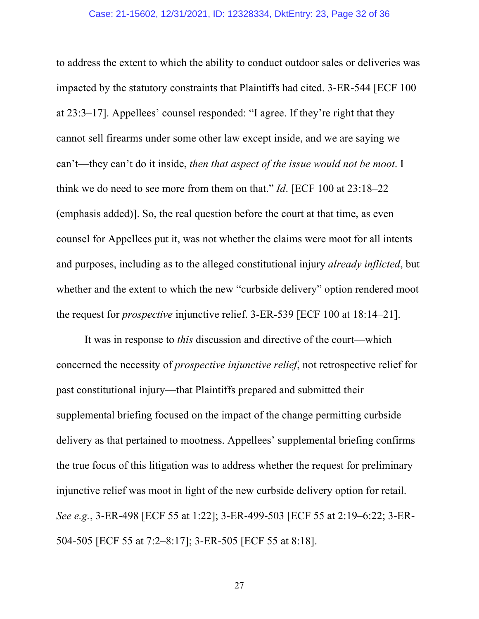to address the extent to which the ability to conduct outdoor sales or deliveries was impacted by the statutory constraints that Plaintiffs had cited. 3-ER-544 [ECF 100 at 23:3–17]. Appellees' counsel responded: "I agree. If they're right that they cannot sell firearms under some other law except inside, and we are saying we can't—they can't do it inside, *then that aspect of the issue would not be moot*. I think we do need to see more from them on that." *Id*. [ECF 100 at 23:18–22 (emphasis added)]. So, the real question before the court at that time, as even counsel for Appellees put it, was not whether the claims were moot for all intents and purposes, including as to the alleged constitutional injury *already inflicted*, but whether and the extent to which the new "curbside delivery" option rendered moot the request for *prospective* injunctive relief. 3-ER-539 [ECF 100 at 18:14–21].

It was in response to *this* discussion and directive of the court—which concerned the necessity of *prospective injunctive relief*, not retrospective relief for past constitutional injury—that Plaintiffs prepared and submitted their supplemental briefing focused on the impact of the change permitting curbside delivery as that pertained to mootness. Appellees' supplemental briefing confirms the true focus of this litigation was to address whether the request for preliminary injunctive relief was moot in light of the new curbside delivery option for retail. *See e.g.*, 3-ER-498 [ECF 55 at 1:22]; 3-ER-499-503 [ECF 55 at 2:19–6:22; 3-ER-504-505 [ECF 55 at 7:2–8:17]; 3-ER-505 [ECF 55 at 8:18].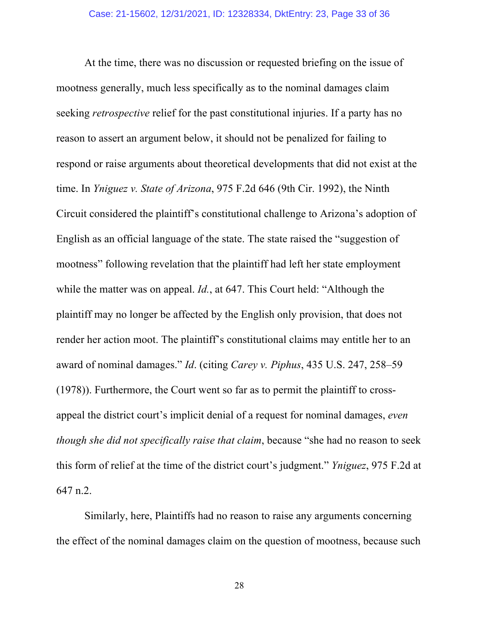At the time, there was no discussion or requested briefing on the issue of mootness generally, much less specifically as to the nominal damages claim seeking *retrospective* relief for the past constitutional injuries. If a party has no reason to assert an argument below, it should not be penalized for failing to respond or raise arguments about theoretical developments that did not exist at the time. In *Yniguez v. State of Arizona*, 975 F.2d 646 (9th Cir. 1992), the Ninth Circuit considered the plaintiff's constitutional challenge to Arizona's adoption of English as an official language of the state. The state raised the "suggestion of mootness" following revelation that the plaintiff had left her state employment while the matter was on appeal. *Id.*, at 647. This Court held: "Although the plaintiff may no longer be affected by the English only provision, that does not render her action moot. The plaintiff's constitutional claims may entitle her to an award of nominal damages." *Id*. (citing *Carey v. Piphus*, 435 U.S. 247, 258–59 (1978)). Furthermore, the Court went so far as to permit the plaintiff to crossappeal the district court's implicit denial of a request for nominal damages, *even though she did not specifically raise that claim*, because "she had no reason to seek this form of relief at the time of the district court's judgment." *Yniguez*, 975 F.2d at 647 n.2.

Similarly, here, Plaintiffs had no reason to raise any arguments concerning the effect of the nominal damages claim on the question of mootness, because such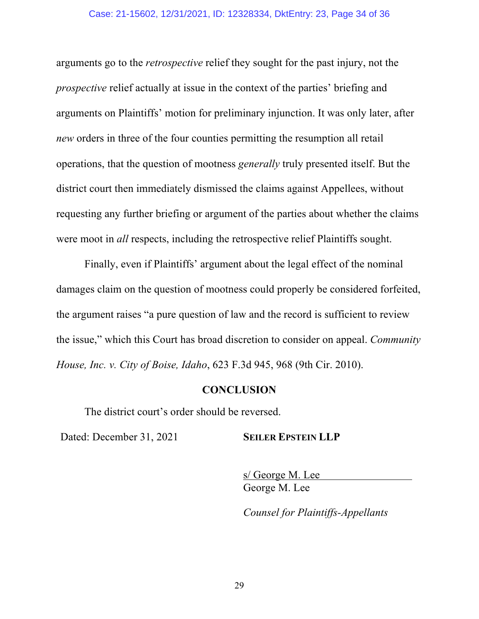#### Case: 21-15602, 12/31/2021, ID: 12328334, DktEntry: 23, Page 34 of 36

arguments go to the *retrospective* relief they sought for the past injury, not the *prospective* relief actually at issue in the context of the parties' briefing and arguments on Plaintiffs' motion for preliminary injunction. It was only later, after *new* orders in three of the four counties permitting the resumption all retail operations, that the question of mootness *generally* truly presented itself. But the district court then immediately dismissed the claims against Appellees, without requesting any further briefing or argument of the parties about whether the claims were moot in *all* respects, including the retrospective relief Plaintiffs sought.

Finally, even if Plaintiffs' argument about the legal effect of the nominal damages claim on the question of mootness could properly be considered forfeited, the argument raises "a pure question of law and the record is sufficient to review the issue," which this Court has broad discretion to consider on appeal. *Community House, Inc. v. City of Boise, Idaho*, 623 F.3d 945, 968 (9th Cir. 2010).

#### **CONCLUSION**

The district court's order should be reversed.

Dated: December 31, 2021 **SEILER EPSTEIN LLP**

s/ George M. Lee George M. Lee

*Counsel for Plaintiffs-Appellants*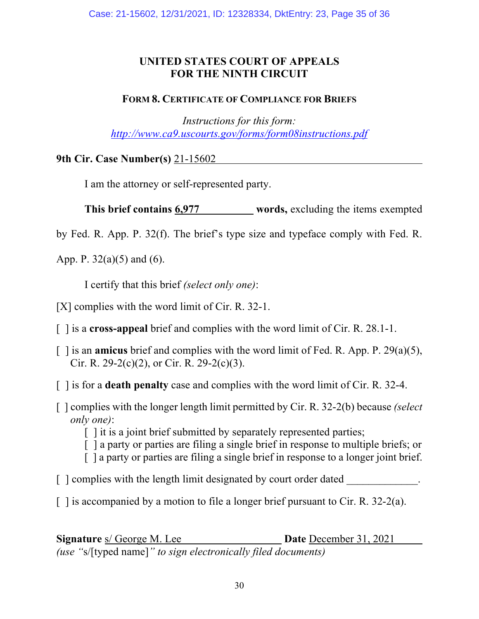### **UNITED STATES COURT OF APPEALS FOR THE NINTH CIRCUIT**

### **FORM 8. CERTIFICATE OF COMPLIANCE FOR BRIEFS**

*Instructions for this form: http://www.ca9.uscourts.gov/forms/form08instructions.pdf*

**9th Cir. Case Number(s)** 21-15602

I am the attorney or self-represented party.

**This brief contains 6,977 words,** excluding the items exempted

by Fed. R. App. P. 32(f). The brief's type size and typeface comply with Fed. R.

App. P. 32(a)(5) and (6).

I certify that this brief *(select only one)*:

[X] complies with the word limit of Cir. R. 32-1.

[ ] is a **cross-appeal** brief and complies with the word limit of Cir. R. 28.1-1.

- [ ] is an **amicus** brief and complies with the word limit of Fed. R. App. P. 29(a)(5), Cir. R. 29-2(c)(2), or Cir. R. 29-2(c)(3).
- [ ] is for a **death penalty** case and complies with the word limit of Cir. R. 32-4.
- [ ] complies with the longer length limit permitted by Cir. R. 32-2(b) because *(select only one)*:

[ ] it is a joint brief submitted by separately represented parties;

- [ ] a party or parties are filing a single brief in response to multiple briefs; or
- [ ] a party or parties are filing a single brief in response to a longer joint brief.
- $\lceil$   $\lceil$  complies with the length limit designated by court order dated
- $\lceil$  1 is accompanied by a motion to file a longer brief pursuant to Cir. R. 32-2(a).

**Signature** s/ George M. Lee **Date** December 31, 2021 *(use "*s/[typed name]*" to sign electronically filed documents)*